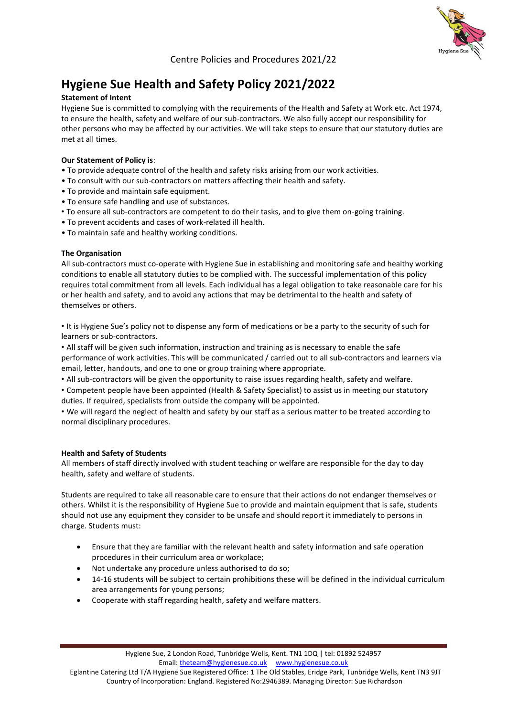# **Hygiene Sue Health and Safety Policy 2021/2022**

## **Statement of Intent**

Hygiene Sue is committed to complying with the requirements of the Health and Safety at Work etc. Act 1974, to ensure the health, safety and welfare of our sub-contractors. We also fully accept our responsibility for other persons who may be affected by our activities. We will take steps to ensure that our statutory duties are met at all times.

# **Our Statement of Policy is**:

- To provide adequate control of the health and safety risks arising from our work activities.
- To consult with our sub-contractors on matters affecting their health and safety.
- To provide and maintain safe equipment.
- To ensure safe handling and use of substances.
- To ensure all sub-contractors are competent to do their tasks, and to give them on-going training.
- To prevent accidents and cases of work-related ill health.
- To maintain safe and healthy working conditions.

## **The Organisation**

All sub-contractors must co-operate with Hygiene Sue in establishing and monitoring safe and healthy working conditions to enable all statutory duties to be complied with. The successful implementation of this policy requires total commitment from all levels. Each individual has a legal obligation to take reasonable care for his or her health and safety, and to avoid any actions that may be detrimental to the health and safety of themselves or others.

• It is Hygiene Sue's policy not to dispense any form of medications or be a party to the security of such for learners or sub-contractors.

• All staff will be given such information, instruction and training as is necessary to enable the safe performance of work activities. This will be communicated / carried out to all sub-contractors and learners via email, letter, handouts, and one to one or group training where appropriate.

• All sub-contractors will be given the opportunity to raise issues regarding health, safety and welfare.

• Competent people have been appointed (Health & Safety Specialist) to assist us in meeting our statutory duties. If required, specialists from outside the company will be appointed.

• We will regard the neglect of health and safety by our staff as a serious matter to be treated according to normal disciplinary procedures.

# **Health and Safety of Students**

All members of staff directly involved with student teaching or welfare are responsible for the day to day health, safety and welfare of students.

Students are required to take all reasonable care to ensure that their actions do not endanger themselves or others. Whilst it is the responsibility of Hygiene Sue to provide and maintain equipment that is safe, students should not use any equipment they consider to be unsafe and should report it immediately to persons in charge. Students must:

- Ensure that they are familiar with the relevant health and safety information and safe operation procedures in their curriculum area or workplace;
- Not undertake any procedure unless authorised to do so;
- 14-16 students will be subject to certain prohibitions these will be defined in the individual curriculum area arrangements for young persons;
- Cooperate with staff regarding health, safety and welfare matters.

 Eglantine Catering Ltd T/A Hygiene Sue Registered Office: 1 The Old Stables, Eridge Park, Tunbridge Wells, Kent TN3 9JT Country of Incorporation: England. Registered No:2946389. Managing Director: Sue Richardson